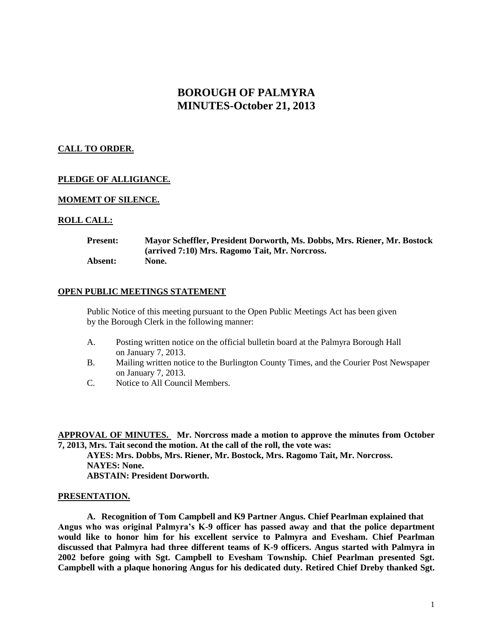# **BOROUGH OF PALMYRA MINUTES-October 21, 2013**

# **CALL TO ORDER.**

## **PLEDGE OF ALLIGIANCE.**

### **MOMEMT OF SILENCE.**

### **ROLL CALL:**

| <b>Present:</b> | Mayor Scheffler, President Dorworth, Ms. Dobbs, Mrs. Riener, Mr. Bostock |
|-----------------|--------------------------------------------------------------------------|
|                 | (arrived 7:10) Mrs. Ragomo Tait, Mr. Norcross.                           |
| Absent:         | None.                                                                    |

#### **OPEN PUBLIC MEETINGS STATEMENT**

Public Notice of this meeting pursuant to the Open Public Meetings Act has been given by the Borough Clerk in the following manner:

- A. Posting written notice on the official bulletin board at the Palmyra Borough Hall on January 7, 2013.
- B. Mailing written notice to the Burlington County Times, and the Courier Post Newspaper on January 7, 2013.
- C. Notice to All Council Members.

**APPROVAL OF MINUTES. Mr. Norcross made a motion to approve the minutes from October 7, 2013, Mrs. Tait second the motion. At the call of the roll, the vote was:**

**AYES: Mrs. Dobbs, Mrs. Riener, Mr. Bostock, Mrs. Ragomo Tait, Mr. Norcross. NAYES: None. ABSTAIN: President Dorworth.**

#### **PRESENTATION.**

**A. Recognition of Tom Campbell and K9 Partner Angus. Chief Pearlman explained that Angus who was original Palmyra's K-9 officer has passed away and that the police department would like to honor him for his excellent service to Palmyra and Evesham. Chief Pearlman discussed that Palmyra had three different teams of K-9 officers. Angus started with Palmyra in 2002 before going with Sgt. Campbell to Evesham Township. Chief Pearlman presented Sgt. Campbell with a plaque honoring Angus for his dedicated duty. Retired Chief Dreby thanked Sgt.**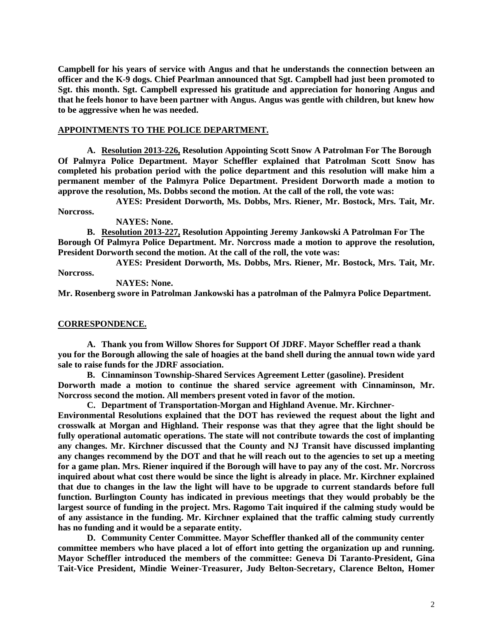**Campbell for his years of service with Angus and that he understands the connection between an officer and the K-9 dogs. Chief Pearlman announced that Sgt. Campbell had just been promoted to Sgt. this month. Sgt. Campbell expressed his gratitude and appreciation for honoring Angus and that he feels honor to have been partner with Angus. Angus was gentle with children, but knew how to be aggressive when he was needed.** 

#### **APPOINTMENTS TO THE POLICE DEPARTMENT.**

**A. Resolution 2013-226, Resolution Appointing Scott Snow A Patrolman For The Borough Of Palmyra Police Department. Mayor Scheffler explained that Patrolman Scott Snow has completed his probation period with the police department and this resolution will make him a permanent member of the Palmyra Police Department. President Dorworth made a motion to approve the resolution, Ms. Dobbs second the motion. At the call of the roll, the vote was:**

**AYES: President Dorworth, Ms. Dobbs, Mrs. Riener, Mr. Bostock, Mrs. Tait, Mr.** 

**Norcross.**

**NAYES: None.** 

**B. Resolution 2013-227, Resolution Appointing Jeremy Jankowski A Patrolman For The Borough Of Palmyra Police Department. Mr. Norcross made a motion to approve the resolution, President Dorworth second the motion. At the call of the roll, the vote was:**

**AYES: President Dorworth, Ms. Dobbs, Mrs. Riener, Mr. Bostock, Mrs. Tait, Mr. Norcross.**

**NAYES: None. Mr. Rosenberg swore in Patrolman Jankowski has a patrolman of the Palmyra Police Department.** 

#### **CORRESPONDENCE.**

**A. Thank you from Willow Shores for Support Of JDRF. Mayor Scheffler read a thank you for the Borough allowing the sale of hoagies at the band shell during the annual town wide yard sale to raise funds for the JDRF association.** 

**B. Cinnaminson Township-Shared Services Agreement Letter (gasoline). President Dorworth made a motion to continue the shared service agreement with Cinnaminson, Mr. Norcross second the motion. All members present voted in favor of the motion.** 

**C. Department of Transportation-Morgan and Highland Avenue. Mr. Kirchner-Environmental Resolutions explained that the DOT has reviewed the request about the light and crosswalk at Morgan and Highland. Their response was that they agree that the light should be fully operational automatic operations. The state will not contribute towards the cost of implanting any changes. Mr. Kirchner discussed that the County and NJ Transit have discussed implanting any changes recommend by the DOT and that he will reach out to the agencies to set up a meeting for a game plan. Mrs. Riener inquired if the Borough will have to pay any of the cost. Mr. Norcross inquired about what cost there would be since the light is already in place. Mr. Kirchner explained that due to changes in the law the light will have to be upgrade to current standards before full function. Burlington County has indicated in previous meetings that they would probably be the largest source of funding in the project. Mrs. Ragomo Tait inquired if the calming study would be of any assistance in the funding. Mr. Kirchner explained that the traffic calming study currently has no funding and it would be a separate entity.** 

**D. Community Center Committee. Mayor Scheffler thanked all of the community center committee members who have placed a lot of effort into getting the organization up and running. Mayor Scheffler introduced the members of the committee: Geneva Di Taranto-President, Gina Tait-Vice President, Mindie Weiner-Treasurer, Judy Belton-Secretary, Clarence Belton, Homer**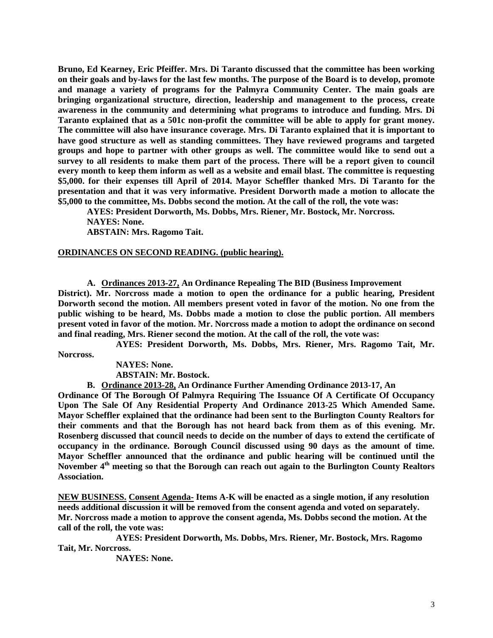**Bruno, Ed Kearney, Eric Pfeiffer. Mrs. Di Taranto discussed that the committee has been working on their goals and by-laws for the last few months. The purpose of the Board is to develop, promote and manage a variety of programs for the Palmyra Community Center. The main goals are bringing organizational structure, direction, leadership and management to the process, create awareness in the community and determining what programs to introduce and funding. Mrs. Di Taranto explained that as a 501c non-profit the committee will be able to apply for grant money. The committee will also have insurance coverage. Mrs. Di Taranto explained that it is important to have good structure as well as standing committees. They have reviewed programs and targeted groups and hope to partner with other groups as well. The committee would like to send out a survey to all residents to make them part of the process. There will be a report given to council every month to keep them inform as well as a website and email blast. The committee is requesting \$5,000. for their expenses till April of 2014. Mayor Scheffler thanked Mrs. Di Taranto for the presentation and that it was very informative. President Dorworth made a motion to allocate the \$5,000 to the committee, Ms. Dobbs second the motion. At the call of the roll, the vote was:**

**AYES: President Dorworth, Ms. Dobbs, Mrs. Riener, Mr. Bostock, Mr. Norcross.**

**NAYES: None. ABSTAIN: Mrs. Ragomo Tait.** 

#### **ORDINANCES ON SECOND READING. (public hearing).**

**A. Ordinances 2013-27, An Ordinance Repealing The BID (Business Improvement District). Mr. Norcross made a motion to open the ordinance for a public hearing, President Dorworth second the motion. All members present voted in favor of the motion. No one from the public wishing to be heard, Ms. Dobbs made a motion to close the public portion. All members present voted in favor of the motion. Mr. Norcross made a motion to adopt the ordinance on second and final reading, Mrs. Riener second the motion. At the call of the roll, the vote was:**

**AYES: President Dorworth, Ms. Dobbs, Mrs. Riener, Mrs. Ragomo Tait, Mr. Norcross.**

**NAYES: None.**

**ABSTAIN: Mr. Bostock.** 

**B. Ordinance 2013-28, An Ordinance Further Amending Ordinance 2013-17, An**

**Ordinance Of The Borough Of Palmyra Requiring The Issuance Of A Certificate Of Occupancy Upon The Sale Of Any Residential Property And Ordinance 2013-25 Which Amended Same. Mayor Scheffler explained that the ordinance had been sent to the Burlington County Realtors for their comments and that the Borough has not heard back from them as of this evening. Mr. Rosenberg discussed that council needs to decide on the number of days to extend the certificate of occupancy in the ordinance. Borough Council discussed using 90 days as the amount of time. Mayor Scheffler announced that the ordinance and public hearing will be continued until the November 4th meeting so that the Borough can reach out again to the Burlington County Realtors Association.** 

**NEW BUSINESS. Consent Agenda- Items A-K will be enacted as a single motion, if any resolution needs additional discussion it will be removed from the consent agenda and voted on separately. Mr. Norcross made a motion to approve the consent agenda, Ms. Dobbs second the motion. At the call of the roll, the vote was:**

**AYES: President Dorworth, Ms. Dobbs, Mrs. Riener, Mr. Bostock, Mrs. Ragomo Tait, Mr. Norcross.**

**NAYES: None.**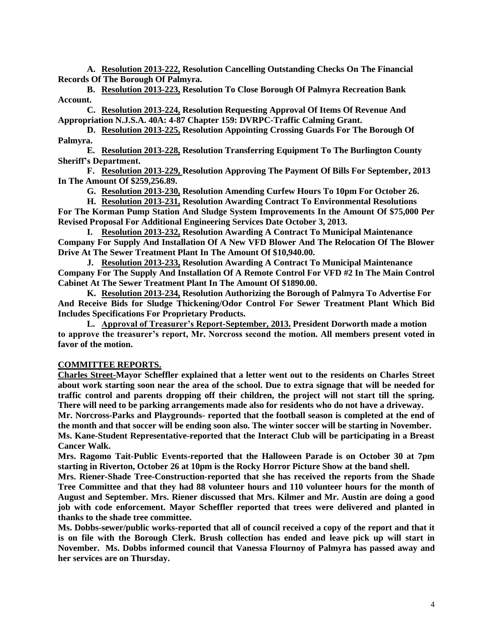**A. Resolution 2013-222, Resolution Cancelling Outstanding Checks On The Financial Records Of The Borough Of Palmyra.**

**B. Resolution 2013-223, Resolution To Close Borough Of Palmyra Recreation Bank Account.**

**C. Resolution 2013-224, Resolution Requesting Approval Of Items Of Revenue And Appropriation N.J.S.A. 40A: 4-87 Chapter 159: DVRPC-Traffic Calming Grant.** 

**D. Resolution 2013-225, Resolution Appointing Crossing Guards For The Borough Of Palmyra.**

**E. Resolution 2013-228, Resolution Transferring Equipment To The Burlington County Sheriff's Department.** 

**F. Resolution 2013-229, Resolution Approving The Payment Of Bills For September, 2013 In The Amount Of \$259,256.89.**

**G. Resolution 2013-230, Resolution Amending Curfew Hours To 10pm For October 26.**

**H. Resolution 2013-231, Resolution Awarding Contract To Environmental Resolutions For The Korman Pump Station And Sludge System Improvements In the Amount Of \$75,000 Per Revised Proposal For Additional Engineering Services Date October 3, 2013.** 

**I. Resolution 2013-232, Resolution Awarding A Contract To Municipal Maintenance Company For Supply And Installation Of A New VFD Blower And The Relocation Of The Blower Drive At The Sewer Treatment Plant In The Amount Of \$10,940.00.**

**J. Resolution 2013-233, Resolution Awarding A Contract To Municipal Maintenance Company For The Supply And Installation Of A Remote Control For VFD #2 In The Main Control Cabinet At The Sewer Treatment Plant In The Amount Of \$1890.00.** 

**K. Resolution 2013-234, Resolution Authorizing the Borough of Palmyra To Advertise For And Receive Bids for Sludge Thickening/Odor Control For Sewer Treatment Plant Which Bid Includes Specifications For Proprietary Products.**

**L. Approval of Treasurer's Report-September, 2013. President Dorworth made a motion to approve the treasurer's report, Mr. Norcross second the motion. All members present voted in favor of the motion.** 

#### **COMMITTEE REPORTS.**

**Charles Street-Mayor Scheffler explained that a letter went out to the residents on Charles Street about work starting soon near the area of the school. Due to extra signage that will be needed for traffic control and parents dropping off their children, the project will not start till the spring. There will need to be parking arrangements made also for residents who do not have a driveway.** 

**Mr. Norcross-Parks and Playgrounds- reported that the football season is completed at the end of the month and that soccer will be ending soon also. The winter soccer will be starting in November.**

**Ms. Kane-Student Representative-reported that the Interact Club will be participating in a Breast Cancer Walk.**

**Mrs. Ragomo Tait-Public Events-reported that the Halloween Parade is on October 30 at 7pm starting in Riverton, October 26 at 10pm is the Rocky Horror Picture Show at the band shell.**

**Mrs. Riener-Shade Tree-Construction-reported that she has received the reports from the Shade Tree Committee and that they had 88 volunteer hours and 110 volunteer hours for the month of August and September. Mrs. Riener discussed that Mrs. Kilmer and Mr. Austin are doing a good job with code enforcement. Mayor Scheffler reported that trees were delivered and planted in thanks to the shade tree committee.** 

**Ms. Dobbs-sewer/public works-reported that all of council received a copy of the report and that it is on file with the Borough Clerk. Brush collection has ended and leave pick up will start in November. Ms. Dobbs informed council that Vanessa Flournoy of Palmyra has passed away and her services are on Thursday.**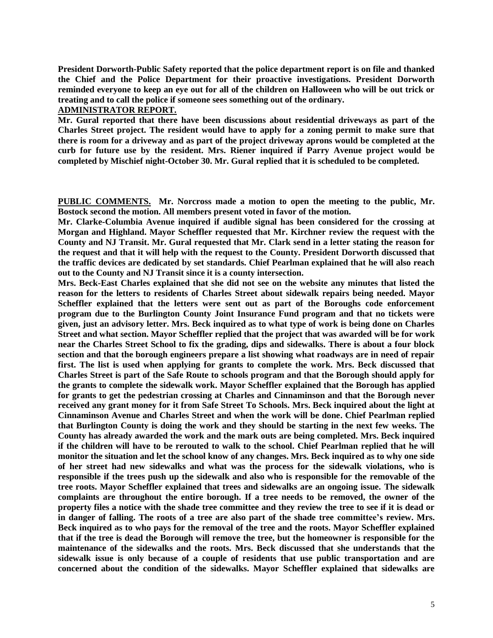**President Dorworth-Public Safety reported that the police department report is on file and thanked the Chief and the Police Department for their proactive investigations. President Dorworth reminded everyone to keep an eye out for all of the children on Halloween who will be out trick or treating and to call the police if someone sees something out of the ordinary.** 

#### **ADMINISTRATOR REPORT.**

**Mr. Gural reported that there have been discussions about residential driveways as part of the Charles Street project. The resident would have to apply for a zoning permit to make sure that there is room for a driveway and as part of the project driveway aprons would be completed at the curb for future use by the resident. Mrs. Riener inquired if Parry Avenue project would be completed by Mischief night-October 30. Mr. Gural replied that it is scheduled to be completed.** 

**PUBLIC COMMENTS. Mr. Norcross made a motion to open the meeting to the public, Mr. Bostock second the motion. All members present voted in favor of the motion.**

**Mr. Clarke-Columbia Avenue inquired if audible signal has been considered for the crossing at Morgan and Highland. Mayor Scheffler requested that Mr. Kirchner review the request with the County and NJ Transit. Mr. Gural requested that Mr. Clark send in a letter stating the reason for the request and that it will help with the request to the County. President Dorworth discussed that the traffic devices are dedicated by set standards. Chief Pearlman explained that he will also reach out to the County and NJ Transit since it is a county intersection.** 

**Mrs. Beck-East Charles explained that she did not see on the website any minutes that listed the reason for the letters to residents of Charles Street about sidewalk repairs being needed. Mayor Scheffler explained that the letters were sent out as part of the Boroughs code enforcement program due to the Burlington County Joint Insurance Fund program and that no tickets were given, just an advisory letter. Mrs. Beck inquired as to what type of work is being done on Charles Street and what section. Mayor Scheffler replied that the project that was awarded will be for work near the Charles Street School to fix the grading, dips and sidewalks. There is about a four block section and that the borough engineers prepare a list showing what roadways are in need of repair first. The list is used when applying for grants to complete the work. Mrs. Beck discussed that Charles Street is part of the Safe Route to schools program and that the Borough should apply for the grants to complete the sidewalk work. Mayor Scheffler explained that the Borough has applied for grants to get the pedestrian crossing at Charles and Cinnaminson and that the Borough never received any grant money for it from Safe Street To Schools. Mrs. Beck inquired about the light at Cinnaminson Avenue and Charles Street and when the work will be done. Chief Pearlman replied that Burlington County is doing the work and they should be starting in the next few weeks. The County has already awarded the work and the mark outs are being completed. Mrs. Beck inquired if the children will have to be rerouted to walk to the school. Chief Pearlman replied that he will monitor the situation and let the school know of any changes. Mrs. Beck inquired as to why one side of her street had new sidewalks and what was the process for the sidewalk violations, who is responsible if the trees push up the sidewalk and also who is responsible for the removable of the tree roots. Mayor Scheffler explained that trees and sidewalks are an ongoing issue. The sidewalk complaints are throughout the entire borough. If a tree needs to be removed, the owner of the property files a notice with the shade tree committee and they review the tree to see if it is dead or in danger of falling. The roots of a tree are also part of the shade tree committee's review. Mrs. Beck inquired as to who pays for the removal of the tree and the roots. Mayor Scheffler explained that if the tree is dead the Borough will remove the tree, but the homeowner is responsible for the maintenance of the sidewalks and the roots. Mrs. Beck discussed that she understands that the sidewalk issue is only because of a couple of residents that use public transportation and are concerned about the condition of the sidewalks. Mayor Scheffler explained that sidewalks are**